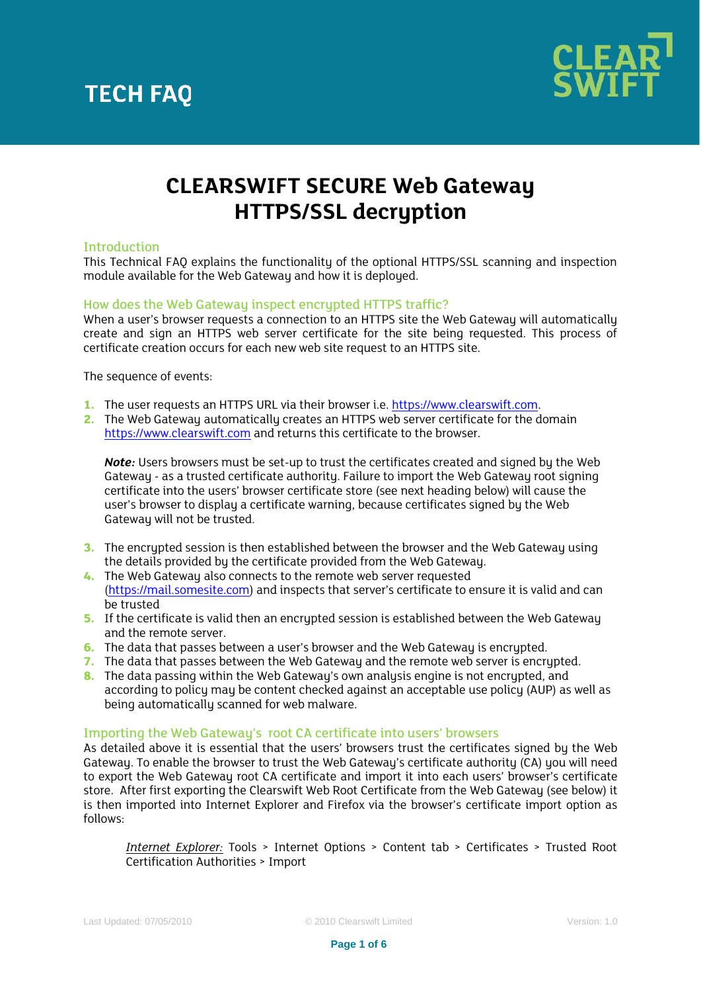

### **CLEARSWIFT SECURE Web Gateway HTTPS/SSL decryption**

#### Introduction

This Technical FAQ explains the functionality of the optional HTTPS/SSL scanning and inspection module available for the Web Gateway and how it is deployed.

#### How does the Web Gateway inspect encrypted HTTPS traffic?

When a user's browser requests a connection to an HTTPS site the Web Gateway will automatically create and sign an HTTPS web server certificate for the site being requested. This process of certificate creation occurs for each new web site request to an HTTPS site.

The sequence of events:

- **1.** The user requests an HTTPS URL via their browser i.e. [https://www.clearswift.com.](https://www.clearswift.com/)
- **2.** The Web Gateway automatically creates an HTTPS web server certificate for the domain [https://www.clearswift.com](https://www.clearswift.com/) and returns this certificate to the browser.

*Note:* Users browsers must be set-up to trust the certificates created and signed by the Web Gateway - as a trusted certificate authority. Failure to import the Web Gateway root signing certificate into the users' browser certificate store (see next heading below) will cause the user's browser to display a certificate warning, because certificates signed by the Web Gateway will not be trusted.

- **3.** The encrupted session is then established between the browser and the Web Gateway using the details provided by the certificate provided from the Web Gateway.
- **4.** The Web Gateway also connects to the remote web server requested [\(https://mail.somesite.com\)](https://mail.somesite.com/) and inspects that server's certificate to ensure it is valid and can be trusted
- **5.** If the certificate is valid then an encrypted session is established between the Web Gateway and the remote server.
- **6.** The data that passes between a user's browser and the Web Gateway is encrypted.
- **7.** The data that passes between the Web Gateway and the remote web server is encrupted.
- **8.** The data passing within the Web Gateway's own analysis engine is not encrypted, and according to policy may be content checked against an acceptable use policy (AUP) as well as being automatically scanned for web malware.

#### Importing the Web Gateway's root CA certificate into users' browsers

As detailed above it is essential that the users' browsers trust the certificates signed by the Web Gateway. To enable the browser to trust the Web Gateway's certificate authority (CA) you will need to export the Web Gateway root CA certificate and import it into each users' browser's certificate store. After first exporting the Clearswift Web Root Certificate from the Web Gateway (see below) it is then imported into Internet Explorer and Firefox via the browser's certificate import option as follows:

*Internet Explorer:* Tools > Internet Options > Content tab > Certificates > Trusted Root Certification Authorities > Import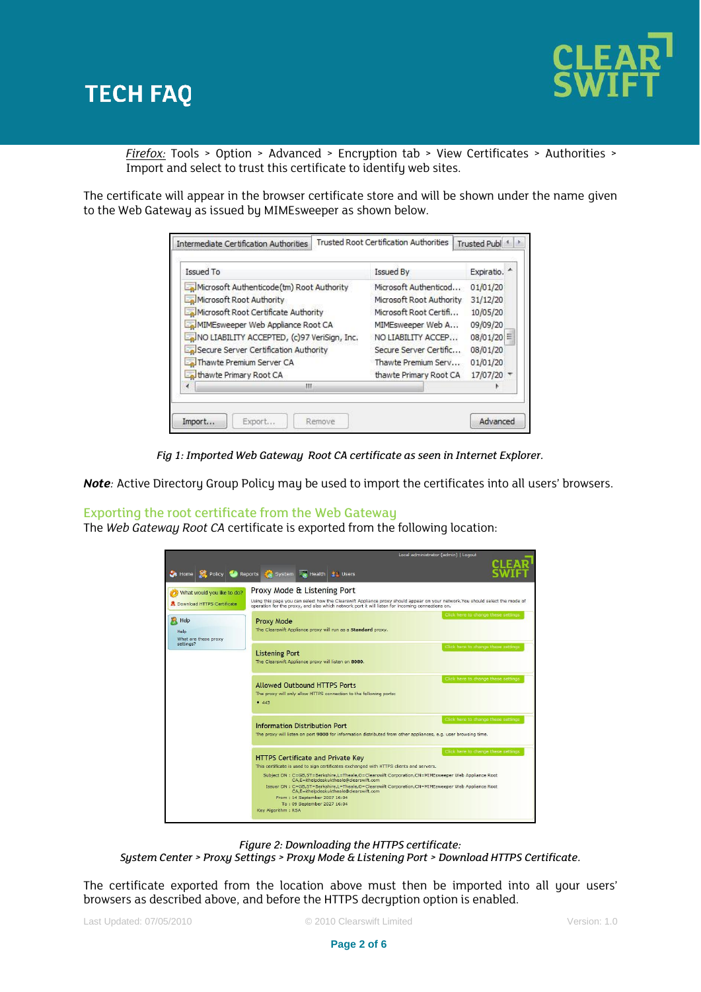

*Firefox:* Tools > Option > Advanced > Encryption tab > View Certificates > Authorities > Import and select to trust this certificate to identify web sites.

The certificate will appear in the browser certificate store and will be shown under the name given to the Web Gateway as issued by MIMEsweeper as shown below.

| Issued To                                                                                                                                                                                                                                                                                         | <b>Issued By</b>                                                                                                                                                                                  | Expiratio.                                                                                          |
|---------------------------------------------------------------------------------------------------------------------------------------------------------------------------------------------------------------------------------------------------------------------------------------------------|---------------------------------------------------------------------------------------------------------------------------------------------------------------------------------------------------|-----------------------------------------------------------------------------------------------------|
| Microsoft Authenticode (tm) Root Authority<br>Microsoft Root Authority<br>Microsoft Root Certificate Authority<br>MIMEsweeper Web Appliance Root CA<br>NO LIABILITY ACCEPTED, (c)97 VeriSign, Inc.<br>Secure Server Certification Authority<br>Thawte Premium Server CA<br>thawte Primary Root CA | Microsoft Authenticod<br>Microsoft Root Authority<br>Microsoft Root Certifi<br>MIMEsweeper Web A<br>NO LIABILITY ACCEP<br>Secure Server Certific<br>Thawte Premium Serv<br>thawte Primary Root CA | 01/01/20<br>31/12/20<br>10/05/20<br>09/09/20<br>08/01/20<br>Ξ<br>08/01/20<br>01/01/20<br>17/07/20 * |
| ш                                                                                                                                                                                                                                                                                                 |                                                                                                                                                                                                   |                                                                                                     |

*Fig 1: Imported Web Gateway Root CA certificate as seen in Internet Explorer.*

*Note*: Active Directory Group Policy may be used to import the certificates into all users' browsers.

#### Exporting the root certificate from the Web Gateway

The *Web Gateway Root CA* certificate is exported from the following location:

|                                      | Local administrator (admin)   Logout                                                                                                                                                                                                                                                                                                                                                                                                                                                                                                                            |
|--------------------------------------|-----------------------------------------------------------------------------------------------------------------------------------------------------------------------------------------------------------------------------------------------------------------------------------------------------------------------------------------------------------------------------------------------------------------------------------------------------------------------------------------------------------------------------------------------------------------|
|                                      | Home Policy Reports & System & Health 1: Users                                                                                                                                                                                                                                                                                                                                                                                                                                                                                                                  |
| What would you like to do?           | Proxy Mode & Listening Port                                                                                                                                                                                                                                                                                                                                                                                                                                                                                                                                     |
| <b>R</b> Download HTTPS Certificate  | Using this page you can select how the Clearswift Appliance proxy should appear on your network. You should select the mode of<br>operation for the proxy, and also which network port it will listen for incoming connections on.                                                                                                                                                                                                                                                                                                                              |
| Help<br>Help<br>What are these proxy | Click here to change these settings<br>Proxy Mode<br>The Clearswift Appliance proxy will run as a Standard proxy.                                                                                                                                                                                                                                                                                                                                                                                                                                               |
| settings?                            | Click here to change these settings<br><b>Listening Port</b><br>The Clearswift Appliance proxy will listen on 8080.                                                                                                                                                                                                                                                                                                                                                                                                                                             |
|                                      | Click here to change these settings<br><b>Allowed Outbound HTTPS Ports</b><br>The proxy will only allow HTTPS connection to the following ports:<br>• 443                                                                                                                                                                                                                                                                                                                                                                                                       |
|                                      | Click here to change these settings<br>Information Distribution Port<br>The proxy will listen on port 9000 for information distributed from other appliances, e.g. user browsing time.                                                                                                                                                                                                                                                                                                                                                                          |
|                                      | Click here to change these settings<br><b>HTTPS Certificate and Private Key</b><br>This certificate is used to sign certificates exchanged with HTTPS clients and servers.<br>Subject DN : C=GB,ST=Berkshire,L=Theale,O=Clearswift Corporation,CN=MIMEsweeper Web Appliance Root<br>CA,E=ithelpdeskuktheale@clearswift.com<br>Issuer DN : C=GB,ST=Berkshire,L=Theale,O=Clearswift Corporation,CN=MIMEsweeper Web Appliance Root<br>CA,E=ithelpdeskuktheale@clearswift.com<br>From: 14 September 2007 16:04<br>To: 09 September 2027 16:04<br>Key Algorithm: RSA |

*Figure 2: Downloading the HTTPS certificate:*

*System Center > Proxy Settings > Proxy Mode & Listening Port > Download HTTPS Certificate.*

The certificate exported from the location above must then be imported into all your users' browsers as described above, and before the HTTPS decryption option is enabled.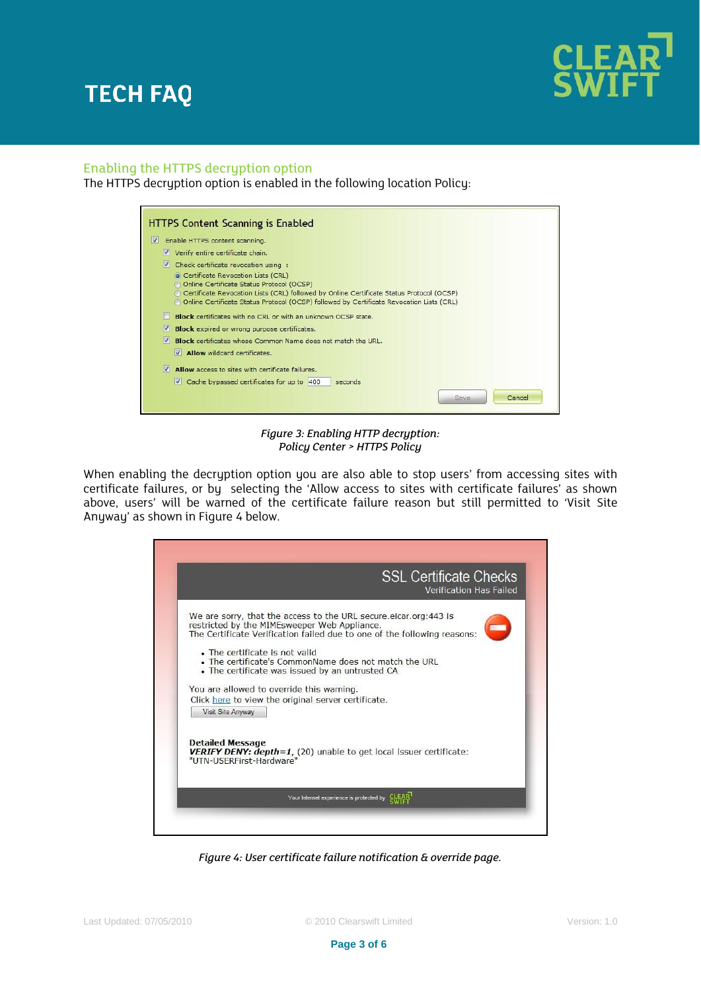

### Enabling the HTTPS decryption option

The HTTPS decryption option is enabled in the following location Policy:

| HTTPS Content Scanning is Enabled                                                                                                                                                      |
|----------------------------------------------------------------------------------------------------------------------------------------------------------------------------------------|
| V<br>Enable HTTPS content scanning.                                                                                                                                                    |
| V Verify entire certificate chain.                                                                                                                                                     |
| V.<br>Check certificate revocation using :                                                                                                                                             |
| • Certificate Revocation Lists (CRL)<br>© Online Certificate Status Protocol (OCSP)                                                                                                    |
| Certificate Revocation Lists (CRL) followed by Online Certificate Status Protocol (OCSP)<br>© Online Certificate Status Protocol (OCSP) followed by Certificate Revocation Lists (CRL) |
| Block certificates with no CRL or with an unknown OCSP state.                                                                                                                          |
| M<br><b>Block</b> expired or wrong purpose certificates.                                                                                                                               |
| M<br>Block certificates whose Common Name does not match the URL.                                                                                                                      |
| $\vee$ <b>Allow</b> wildcard certificates.                                                                                                                                             |
| M<br>Allow access to sites with certificate failures.                                                                                                                                  |
| $\sqrt{ }$ Cache bypassed certificates for up to 400<br>seconds                                                                                                                        |
| Cancel<br>Save                                                                                                                                                                         |

*Figure 3: Enabling HTTP decryption: Policy Center > HTTPS Policy*

When enabling the decryption option you are also able to stop users' from accessing sites with certificate failures, or by selecting the 'Allow access to sites with certificate failures' as shown above, users' will be warned of the certificate failure reason but still permitted to 'Visit Site Anyway' as shown in Figure 4 below.



*Figure 4: User certificate failure notification & override page.*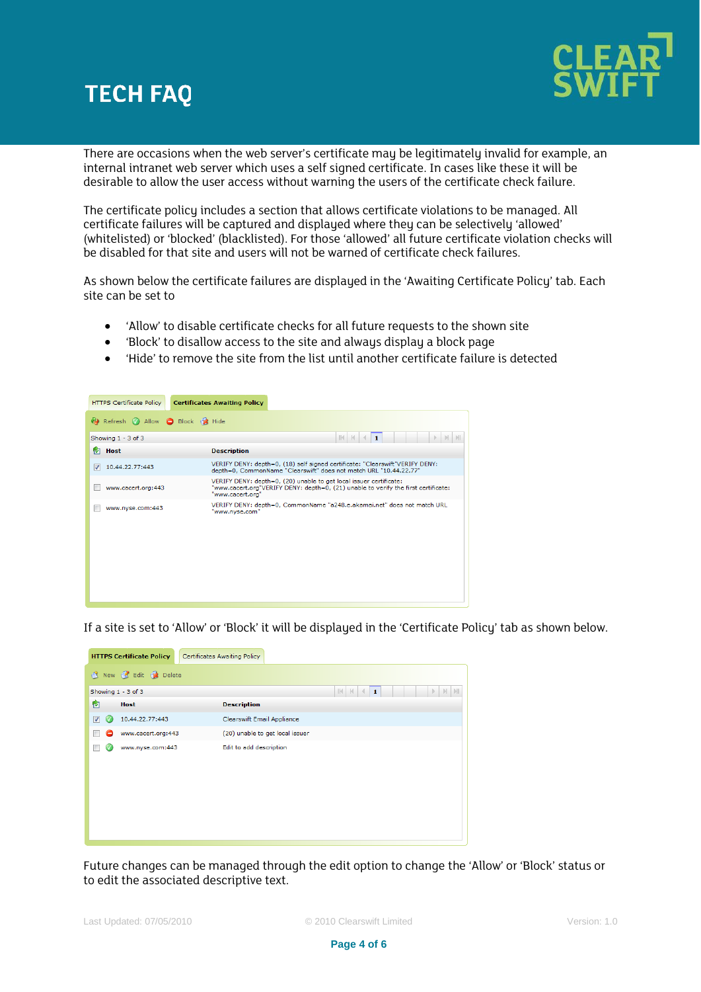

There are occasions when the web server's certificate may be legitimately invalid for example, an internal intranet web server which uses a self signed certificate. In cases like these it will be desirable to allow the user access without warning the users of the certificate check failure.

The certificate policy includes a section that allows certificate violations to be managed. All certificate failures will be captured and displayed where they can be selectively 'allowed' (whitelisted) or 'blocked' (blacklisted). For those 'allowed' all future certificate violation checks will be disabled for that site and users will not be warned of certificate check failures.

As shown below the certificate failures are displayed in the 'Awaiting Certificate Policy' tab. Each site can be set to

- 'Allow' to disable certificate checks for all future requests to the shown site
- 'Block' to disallow access to the site and always display a block page
- 'Hide' to remove the site from the list until another certificate failure is detected



If a site is set to 'Allow' or 'Block' it will be displayed in the 'Certificate Policy' tab as shown below.

|                                         | <b>HTTPS Certificate Policy</b> | Certificates Awaiting Policy    |  |  |
|-----------------------------------------|---------------------------------|---------------------------------|--|--|
| New <b>B</b> Edit <b>B</b> Delete<br>R. |                                 |                                 |  |  |
|                                         | Showing 1 - 3 of 3              | $I$ $N$ $4$<br>$\mathbf{1}$     |  |  |
| 囪                                       | <b>Host</b>                     | <b>Description</b>              |  |  |
| $\overline{\mathbf{v}}$                 | 10.44.22.77:443                 | Clearswift Email Appliance      |  |  |
| -                                       | www.cacert.org:443              | (20) unable to get local issuer |  |  |
|                                         | www.nyse.com:443                | Edit to add description         |  |  |
|                                         |                                 |                                 |  |  |
|                                         |                                 |                                 |  |  |
|                                         |                                 |                                 |  |  |
|                                         |                                 |                                 |  |  |
|                                         |                                 |                                 |  |  |
|                                         |                                 |                                 |  |  |

Future changes can be managed through the edit option to change the 'Allow' or 'Block' status or to edit the associated descriptive text.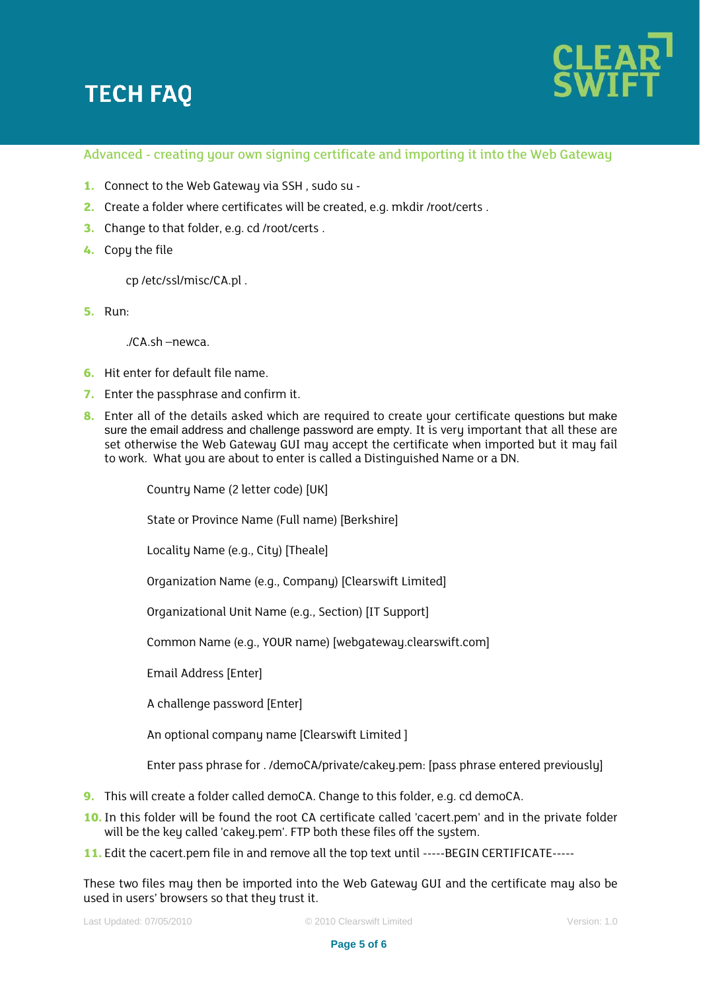

### Advanced - creating your own signing certificate and importing it into the Web Gateway

- **1.** Connect to the Web Gateway via SSH , sudo su -
- **2.** Create a folder where certificates will be created, e.g. mkdir /root/certs .
- **3.** Change to that folder, e.g. cd /root/certs .
- **4.** Copy the file

cp /etc/ssl/misc/CA.pl .

**5.** Run:

./CA.sh –newca.

- **6.** Hit enter for default file name.
- **7.** Enter the passphrase and confirm it.
- **8.** Enter all of the details asked which are required to create your certificate questions but make sure the email address and challenge password are empty. It is very important that all these are set otherwise the Web Gateway GUI may accept the certificate when imported but it may fail to work. What you are about to enter is called a Distinguished Name or a DN.

Country Name (2 letter code) [UK] State or Province Name (Full name) [Berkshire] Locality Name (e.g., City) [Theale] Organization Name (e.g., Company) [Clearswift Limited] Organizational Unit Name (e.g., Section) [IT Support] Common Name (e.g., YOUR name) [webgateway.clearswift.com] Email Address [Enter] A challenge password [Enter] An optional company name [Clearswift Limited ] Enter pass phrase for . /demoCA/private/cakey.pem: [pass phrase entered previously]

- **9.** This will create a folder called demoCA. Change to this folder, e.g. cd demoCA.
- 10. In this folder will be found the root CA certificate called 'cacert.pem' and in the private folder will be the key called 'cakey.pem'. FTP both these files off the system.
- **11.** Edit the cacert.pem file in and remove all the top text until -----BEGIN CERTIFICATE-----

These two files may then be imported into the Web Gateway GUI and the certificate may also be used in users' browsers so that they trust it.